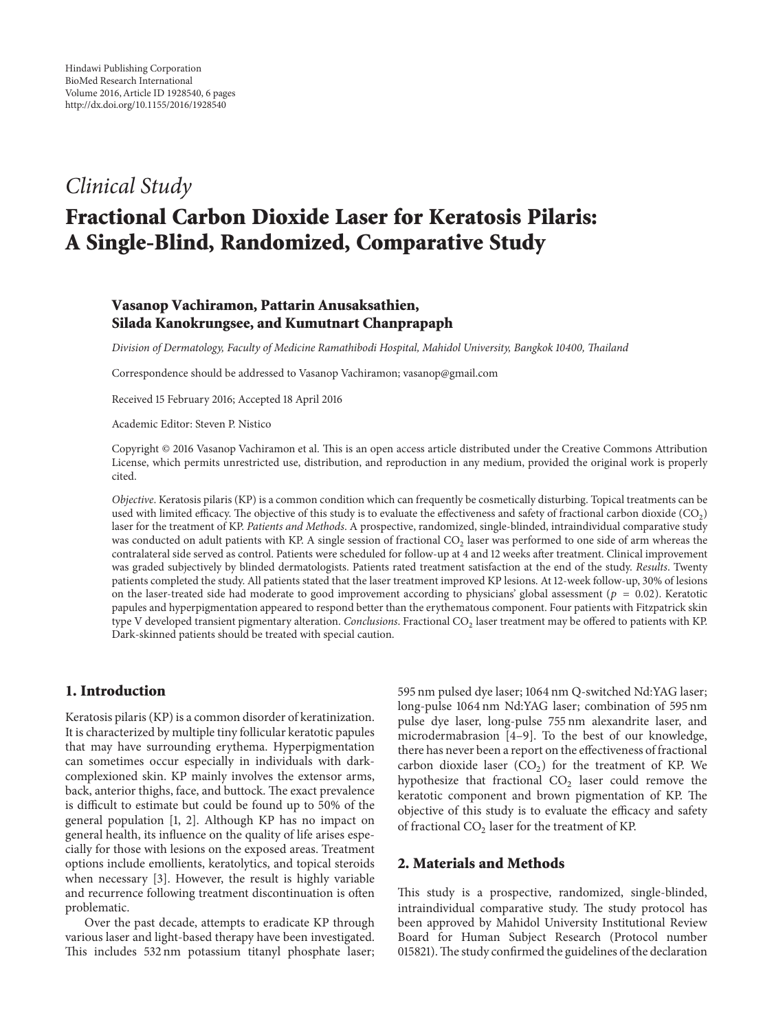# *Clinical Study*

# **Fractional Carbon Dioxide Laser for Keratosis Pilaris: A Single-Blind, Randomized, Comparative Study**

# **Vasanop Vachiramon, Pattarin Anusaksathien, Silada Kanokrungsee, and Kumutnart Chanprapaph**

*Division of Dermatology, Faculty of Medicine Ramathibodi Hospital, Mahidol University, Bangkok 10400, Thailand*

Correspondence should be addressed to Vasanop Vachiramon; vasanop@gmail.com

Received 15 February 2016; Accepted 18 April 2016

Academic Editor: Steven P. Nistico

Copyright © 2016 Vasanop Vachiramon et al. This is an open access article distributed under the Creative Commons Attribution License, which permits unrestricted use, distribution, and reproduction in any medium, provided the original work is properly cited.

*Objective*. Keratosis pilaris (KP) is a common condition which can frequently be cosmetically disturbing. Topical treatments can be used with limited efficacy. The objective of this study is to evaluate the effectiveness and safety of fractional carbon dioxide (CO<sub>2</sub>) laser for the treatment of KP. *Patients and Methods*. A prospective, randomized, single-blinded, intraindividual comparative study was conducted on adult patients with KP. A single session of fractional CO<sub>2</sub> laser was performed to one side of arm whereas the contralateral side served as control. Patients were scheduled for follow-up at 4 and 12 weeks after treatment. Clinical improvement was graded subjectively by blinded dermatologists. Patients rated treatment satisfaction at the end of the study. *Results*. Twenty patients completed the study. All patients stated that the laser treatment improved KP lesions. At 12-week follow-up, 30% of lesions on the laser-treated side had moderate to good improvement according to physicians' global assessment ( $p = 0.02$ ). Keratotic papules and hyperpigmentation appeared to respond better than the erythematous component. Four patients with Fitzpatrick skin type V developed transient pigmentary alteration. *Conclusions*. Fractional CO<sub>2</sub> laser treatment may be offered to patients with KP. Dark-skinned patients should be treated with special caution.

# **1. Introduction**

Keratosis pilaris (KP) is a common disorder of keratinization. It is characterized by multiple tiny follicular keratotic papules that may have surrounding erythema. Hyperpigmentation can sometimes occur especially in individuals with darkcomplexioned skin. KP mainly involves the extensor arms, back, anterior thighs, face, and buttock. The exact prevalence is difficult to estimate but could be found up to 50% of the general population [1, 2]. Although KP has no impact on general health, its influence on the quality of life arises especially for those with lesions on the exposed areas. Treatment options include emollients, keratolytics, and topical steroids when necessary [3]. However, the result is highly variable and recurrence following treatment discontinuation is often problematic.

Over the past decade, attempts to eradicate KP through various laser and light-based therapy have been investigated. This includes 532 nm potassium titanyl phosphate laser; 595 nm pulsed dye laser; 1064 nm Q-switched Nd:YAG laser; long-pulse 1064 nm Nd:YAG laser; combination of 595 nm pulse dye laser, long-pulse 755 nm alexandrite laser, and microdermabrasion [4–9]. To the best of our knowledge, there has never been a report on the effectiveness of fractional carbon dioxide laser  $(CO<sub>2</sub>)$  for the treatment of KP. We hypothesize that fractional  $CO<sub>2</sub>$  laser could remove the keratotic component and brown pigmentation of KP. The objective of this study is to evaluate the efficacy and safety of fractional  $CO<sub>2</sub>$  laser for the treatment of KP.

# **2. Materials and Methods**

This study is a prospective, randomized, single-blinded, intraindividual comparative study. The study protocol has been approved by Mahidol University Institutional Review Board for Human Subject Research (Protocol number 015821).The study confirmed the guidelines of the declaration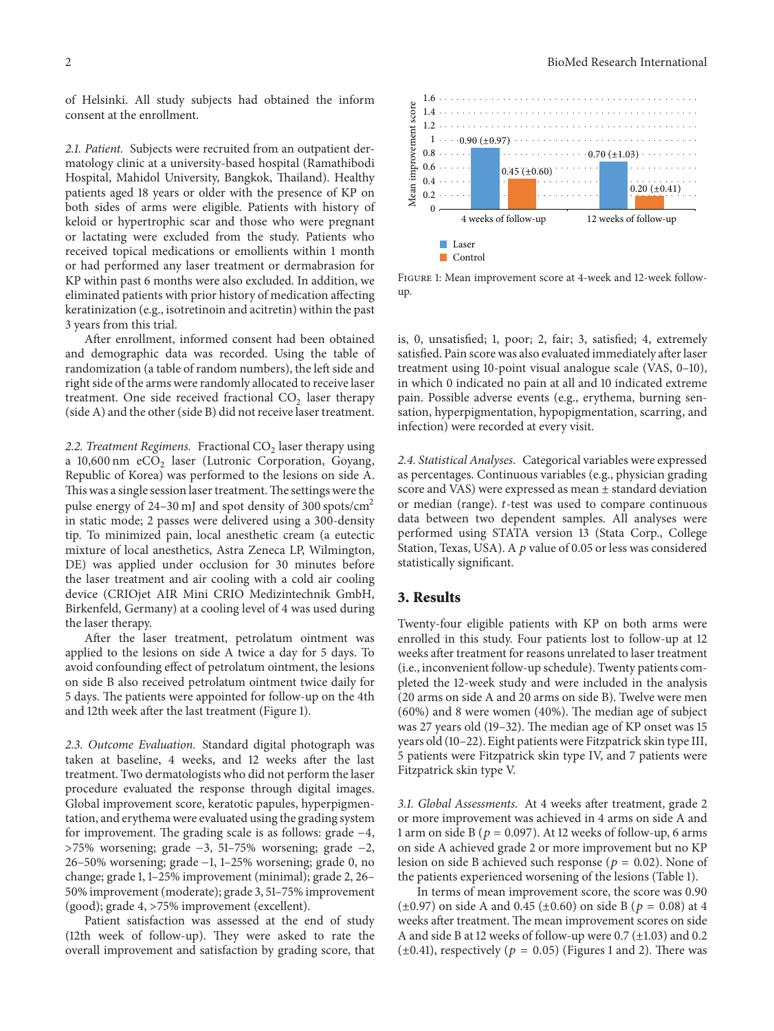of Helsinki. All study subjects had obtained the inform consent at the enrollment.

*2.1. Patient.* Subjects were recruited from an outpatient dermatology clinic at a university-based hospital (Ramathibodi Hospital, Mahidol University, Bangkok, Thailand). Healthy patients aged 18 years or older with the presence of KP on both sides of arms were eligible. Patients with history of keloid or hypertrophic scar and those who were pregnant or lactating were excluded from the study. Patients who received topical medications or emollients within 1 month or had performed any laser treatment or dermabrasion for KP within past 6 months were also excluded. In addition, we eliminated patients with prior history of medication affecting keratinization (e.g., isotretinoin and acitretin) within the past 3 years from this trial.

After enrollment, informed consent had been obtained and demographic data was recorded. Using the table of randomization (a table of random numbers), the left side and right side of the arms were randomly allocated to receive laser treatment. One side received fractional  $CO<sub>2</sub>$  laser therapy (side A) and the other (side B) did not receive laser treatment.

2.2. Treatment Regimens. Fractional  $CO<sub>2</sub>$  laser therapy using a 10,600 nm  $eCO<sub>2</sub>$  laser (Lutronic Corporation, Goyang, Republic of Korea) was performed to the lesions on side A. This was a single session laser treatment.The settings were the pulse energy of  $24-30$  mJ and spot density of 300 spots/cm<sup>2</sup> in static mode; 2 passes were delivered using a 300-density tip. To minimized pain, local anesthetic cream (a eutectic mixture of local anesthetics, Astra Zeneca LP, Wilmington, DE) was applied under occlusion for 30 minutes before the laser treatment and air cooling with a cold air cooling device (CRIOjet AIR Mini CRIO Medizintechnik GmbH, Birkenfeld, Germany) at a cooling level of 4 was used during the laser therapy.

After the laser treatment, petrolatum ointment was applied to the lesions on side A twice a day for 5 days. To avoid confounding effect of petrolatum ointment, the lesions on side B also received petrolatum ointment twice daily for 5 days. The patients were appointed for follow-up on the 4th and 12th week after the last treatment (Figure 1).

*2.3. Outcome Evaluation.* Standard digital photograph was taken at baseline, 4 weeks, and 12 weeks after the last treatment. Two dermatologists who did not perform the laser procedure evaluated the response through digital images. Global improvement score, keratotic papules, hyperpigmentation, and erythema were evaluated using the grading system for improvement. The grading scale is as follows: grade −4, >75% worsening; grade −3, 51–75% worsening; grade −2, 26–50% worsening; grade −1, 1–25% worsening; grade 0, no change; grade 1, 1–25% improvement (minimal); grade 2, 26– 50% improvement (moderate); grade 3, 51–75% improvement (good); grade 4, >75% improvement (excellent).

Patient satisfaction was assessed at the end of study (12th week of follow-up). They were asked to rate the overall improvement and satisfaction by grading score, that



Figure 1: Mean improvement score at 4-week and 12-week followup.

is, 0, unsatisfied; 1, poor; 2, fair; 3, satisfied; 4, extremely satisfied. Pain score was also evaluated immediately after laser treatment using 10-point visual analogue scale (VAS, 0–10), in which 0 indicated no pain at all and 10 indicated extreme pain. Possible adverse events (e.g., erythema, burning sensation, hyperpigmentation, hypopigmentation, scarring, and infection) were recorded at every visit.

*2.4. Statistical Analyses.* Categorical variables were expressed as percentages. Continuous variables (e.g., physician grading score and VAS) were expressed as mean ± standard deviation or median (range).  $t$ -test was used to compare continuous data between two dependent samples. All analyses were performed using STATA version 13 (Stata Corp., College Station, Texas, USA). A  $p$  value of 0.05 or less was considered statistically significant.

#### **3. Results**

Twenty-four eligible patients with KP on both arms were enrolled in this study. Four patients lost to follow-up at 12 weeks after treatment for reasons unrelated to laser treatment (i.e., inconvenient follow-up schedule). Twenty patients completed the 12-week study and were included in the analysis (20 arms on side A and 20 arms on side B). Twelve were men (60%) and 8 were women (40%). The median age of subject was 27 years old (19–32). The median age of KP onset was 15 years old (10–22). Eight patients were Fitzpatrick skin type III, 5 patients were Fitzpatrick skin type IV, and 7 patients were Fitzpatrick skin type V.

*3.1. Global Assessments.* At 4 weeks after treatment, grade 2 or more improvement was achieved in 4 arms on side A and 1 arm on side B ( $p = 0.097$ ). At 12 weeks of follow-up, 6 arms on side A achieved grade 2 or more improvement but no KP lesion on side B achieved such response ( $p = 0.02$ ). None of the patients experienced worsening of the lesions (Table 1).

In terms of mean improvement score, the score was 0.90  $(\pm 0.97)$  on side A and 0.45 ( $\pm 0.60$ ) on side B ( $p = 0.08$ ) at 4 weeks after treatment. The mean improvement scores on side A and side B at 12 weeks of follow-up were 0.7 (±1.03) and 0.2 ( $\pm$ 0.41), respectively ( $p = 0.05$ ) (Figures 1 and 2). There was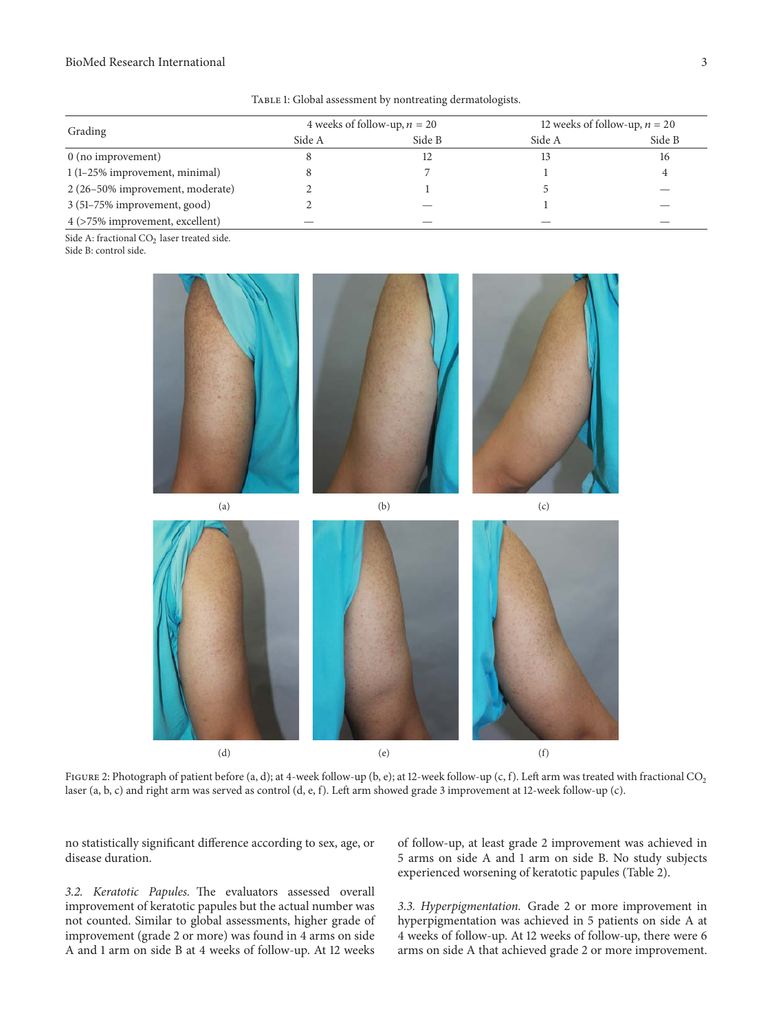#### BioMed Research International 3

| Grading                          | 4 weeks of follow-up, $n = 20$ |        | 12 weeks of follow-up, $n = 20$ |        |
|----------------------------------|--------------------------------|--------|---------------------------------|--------|
|                                  | Side A                         | Side B | Side A                          | Side B |
| $0$ (no improvement)             |                                |        |                                 | 16     |
| 1 (1-25% improvement, minimal)   |                                |        |                                 |        |
| 2 (26-50% improvement, moderate) |                                |        |                                 |        |
| 3 (51-75% improvement, good)     |                                |        |                                 |        |
| 4 (>75% improvement, excellent)  |                                |        |                                 |        |

TABLE 1: Global assessment by nontreating dermatologists.

Side A: fractional  $CO<sub>2</sub>$  laser treated side. Side B: control side.





FIGURE 2: Photograph of patient before (a, d); at 4-week follow-up (b, e); at 12-week follow-up (c, f). Left arm was treated with fractional CO<sub>2</sub> laser (a, b, c) and right arm was served as control (d, e, f). Left arm showed grade 3 improvement at 12-week follow-up (c).

no statistically significant difference according to sex, age, or disease duration.

*3.2. Keratotic Papules.* The evaluators assessed overall improvement of keratotic papules but the actual number was not counted. Similar to global assessments, higher grade of improvement (grade 2 or more) was found in 4 arms on side A and 1 arm on side B at 4 weeks of follow-up. At 12 weeks of follow-up, at least grade 2 improvement was achieved in 5 arms on side A and 1 arm on side B. No study subjects experienced worsening of keratotic papules (Table 2).

*3.3. Hyperpigmentation.* Grade 2 or more improvement in hyperpigmentation was achieved in 5 patients on side A at 4 weeks of follow-up. At 12 weeks of follow-up, there were 6 arms on side A that achieved grade 2 or more improvement.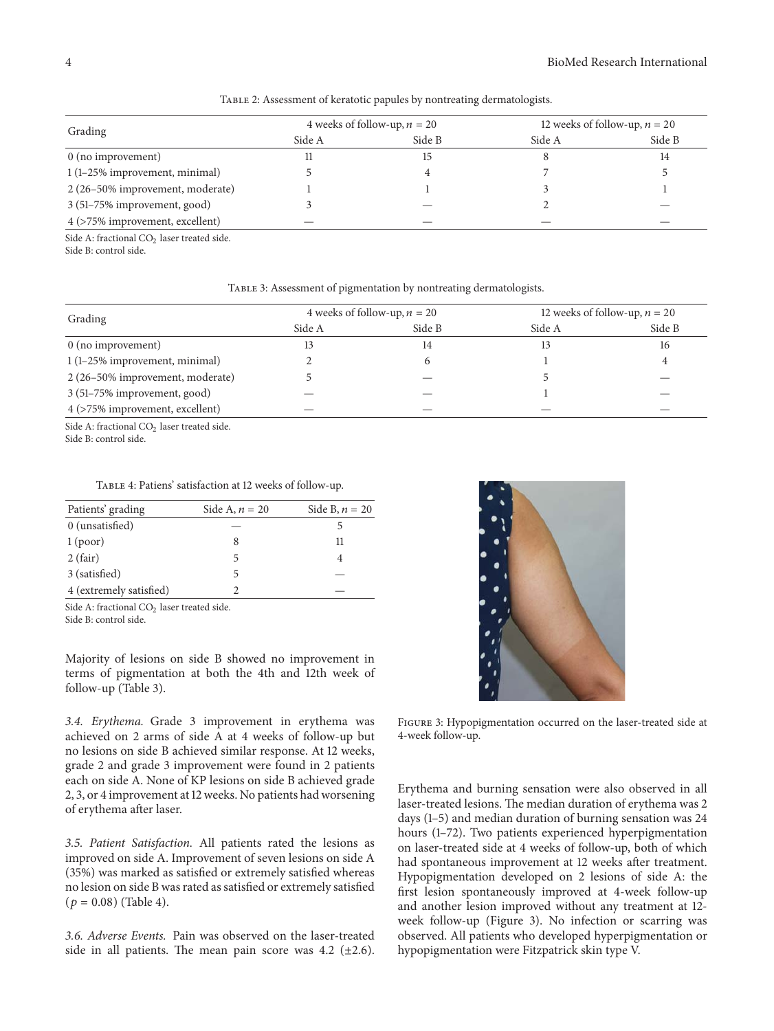| Grading                          | 4 weeks of follow-up, $n = 20$ |        | 12 weeks of follow-up, $n = 20$ |        |
|----------------------------------|--------------------------------|--------|---------------------------------|--------|
|                                  | Side A                         | Side B | Side A                          | Side B |
| $0$ (no improvement)             |                                |        |                                 | 14     |
| 1 (1-25% improvement, minimal)   |                                |        |                                 |        |
| 2 (26-50% improvement, moderate) |                                |        |                                 |        |
| 3 (51-75% improvement, good)     |                                |        |                                 |        |
| 4 (>75% improvement, excellent)  |                                |        |                                 |        |

TABLE 2: Assessment of keratotic papules by nontreating dermatologists.

Side A: fractional  $CO<sub>2</sub>$  laser treated side.

Side B: control side.

TABLE 3: Assessment of pigmentation by nontreating dermatologists.

| Grading                          | 4 weeks of follow-up, $n = 20$ |        | 12 weeks of follow-up, $n = 20$ |        |
|----------------------------------|--------------------------------|--------|---------------------------------|--------|
|                                  | Side A                         | Side B | Side A                          | Side B |
| $0$ (no improvement)             | 13                             | 14     | 13                              | 16     |
| 1 (1–25% improvement, minimal)   |                                |        |                                 |        |
| 2 (26-50% improvement, moderate) |                                |        |                                 |        |
| 3 (51–75% improvement, good)     |                                |        |                                 |        |
| 4 (>75% improvement, excellent)  |                                |        |                                 |        |

Side A: fractional CO<sub>2</sub> laser treated side.

Side B: control side.

Table 4: Patiens' satisfaction at 12 weeks of follow-up.

| Patients' grading       | Side A, $n = 20$ | Side B, $n = 20$ |
|-------------------------|------------------|------------------|
| 0 (unsatisfied)         |                  |                  |
| 1 <sub>(poor)</sub>     |                  | 11               |
| 2(fair)                 | 5                |                  |
| 3 (satisfied)           |                  |                  |
| 4 (extremely satisfied) |                  |                  |

Side A: fractional CO<sub>2</sub> laser treated side. Side B: control side.

Majority of lesions on side B showed no improvement in terms of pigmentation at both the 4th and 12th week of follow-up (Table 3).

*3.4. Erythema.* Grade 3 improvement in erythema was achieved on 2 arms of side A at 4 weeks of follow-up but no lesions on side B achieved similar response. At 12 weeks, grade 2 and grade 3 improvement were found in 2 patients each on side A. None of KP lesions on side B achieved grade 2, 3, or 4 improvement at 12 weeks. No patients had worsening of erythema after laser.

*3.5. Patient Satisfaction.* All patients rated the lesions as improved on side A. Improvement of seven lesions on side A (35%) was marked as satisfied or extremely satisfied whereas no lesion on side B was rated as satisfied or extremely satisfied  $(p = 0.08)$  (Table 4).

*3.6. Adverse Events.* Pain was observed on the laser-treated side in all patients. The mean pain score was  $4.2$  ( $\pm 2.6$ ).



Figure 3: Hypopigmentation occurred on the laser-treated side at 4-week follow-up.

Erythema and burning sensation were also observed in all laser-treated lesions. The median duration of erythema was 2 days (1–5) and median duration of burning sensation was 24 hours (1–72). Two patients experienced hyperpigmentation on laser-treated side at 4 weeks of follow-up, both of which had spontaneous improvement at 12 weeks after treatment. Hypopigmentation developed on 2 lesions of side A: the first lesion spontaneously improved at 4-week follow-up and another lesion improved without any treatment at 12 week follow-up (Figure 3). No infection or scarring was observed. All patients who developed hyperpigmentation or hypopigmentation were Fitzpatrick skin type V.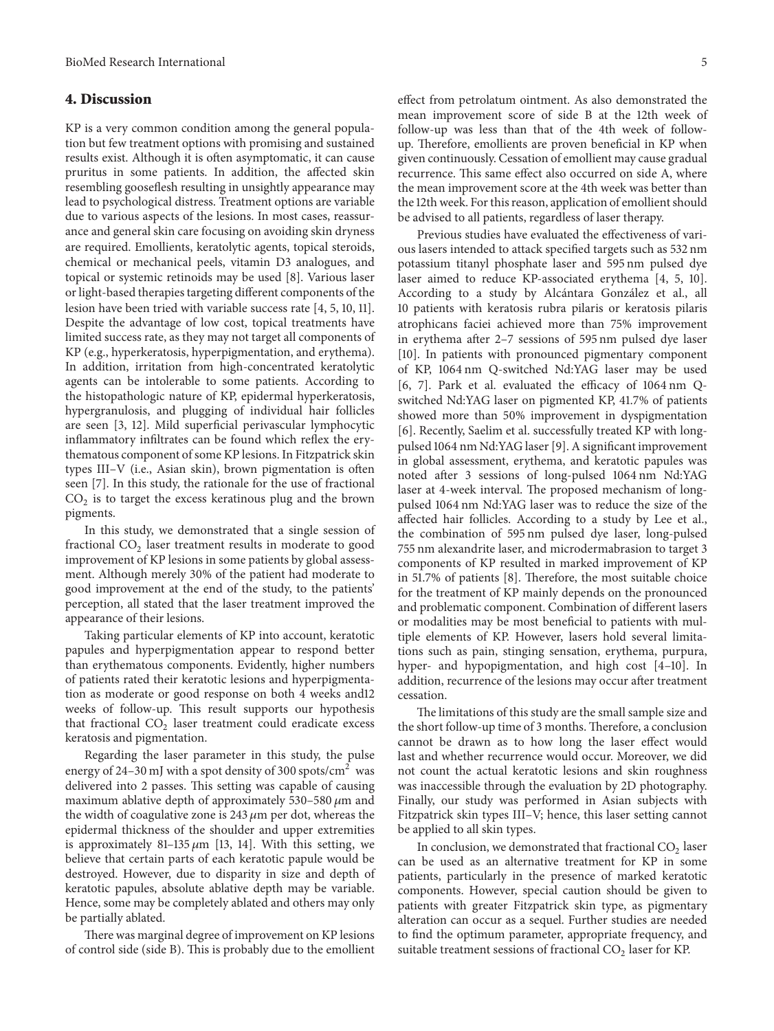### **4. Discussion**

KP is a very common condition among the general population but few treatment options with promising and sustained results exist. Although it is often asymptomatic, it can cause pruritus in some patients. In addition, the affected skin resembling gooseflesh resulting in unsightly appearance may lead to psychological distress. Treatment options are variable due to various aspects of the lesions. In most cases, reassurance and general skin care focusing on avoiding skin dryness are required. Emollients, keratolytic agents, topical steroids, chemical or mechanical peels, vitamin D3 analogues, and topical or systemic retinoids may be used [8]. Various laser or light-based therapies targeting different components of the lesion have been tried with variable success rate [4, 5, 10, 11]. Despite the advantage of low cost, topical treatments have limited success rate, as they may not target all components of KP (e.g., hyperkeratosis, hyperpigmentation, and erythema). In addition, irritation from high-concentrated keratolytic agents can be intolerable to some patients. According to the histopathologic nature of KP, epidermal hyperkeratosis, hypergranulosis, and plugging of individual hair follicles are seen [3, 12]. Mild superficial perivascular lymphocytic inflammatory infiltrates can be found which reflex the erythematous component of some KP lesions. In Fitzpatrick skin types III–V (i.e., Asian skin), brown pigmentation is often seen [7]. In this study, the rationale for the use of fractional  $CO<sub>2</sub>$  is to target the excess keratinous plug and the brown pigments.

In this study, we demonstrated that a single session of fractional  $CO<sub>2</sub>$  laser treatment results in moderate to good improvement of KP lesions in some patients by global assessment. Although merely 30% of the patient had moderate to good improvement at the end of the study, to the patients' perception, all stated that the laser treatment improved the appearance of their lesions.

Taking particular elements of KP into account, keratotic papules and hyperpigmentation appear to respond better than erythematous components. Evidently, higher numbers of patients rated their keratotic lesions and hyperpigmentation as moderate or good response on both 4 weeks and12 weeks of follow-up. This result supports our hypothesis that fractional  $CO<sub>2</sub>$  laser treatment could eradicate excess keratosis and pigmentation.

Regarding the laser parameter in this study, the pulse energy of 24–30 mJ with a spot density of 300 spots/ $\text{cm}^2$  was delivered into 2 passes. This setting was capable of causing maximum ablative depth of approximately 530–580  $\mu$ m and the width of coagulative zone is  $243 \mu m$  per dot, whereas the epidermal thickness of the shoulder and upper extremities is approximately 81–135  $\mu$ m [13, 14]. With this setting, we believe that certain parts of each keratotic papule would be destroyed. However, due to disparity in size and depth of keratotic papules, absolute ablative depth may be variable. Hence, some may be completely ablated and others may only be partially ablated.

There was marginal degree of improvement on KP lesions of control side (side B). This is probably due to the emollient effect from petrolatum ointment. As also demonstrated the mean improvement score of side B at the 12th week of follow-up was less than that of the 4th week of followup. Therefore, emollients are proven beneficial in KP when given continuously. Cessation of emollient may cause gradual recurrence. This same effect also occurred on side A, where the mean improvement score at the 4th week was better than the 12th week. For this reason, application of emollient should be advised to all patients, regardless of laser therapy.

Previous studies have evaluated the effectiveness of various lasers intended to attack specified targets such as 532 nm potassium titanyl phosphate laser and 595 nm pulsed dye laser aimed to reduce KP-associated erythema [4, 5, 10]. According to a study by Alcántara González et al., all 10 patients with keratosis rubra pilaris or keratosis pilaris atrophicans faciei achieved more than 75% improvement in erythema after 2–7 sessions of 595 nm pulsed dye laser [10]. In patients with pronounced pigmentary component of KP, 1064 nm Q-switched Nd:YAG laser may be used [6, 7]. Park et al. evaluated the efficacy of 1064 nm Qswitched Nd:YAG laser on pigmented KP, 41.7% of patients showed more than 50% improvement in dyspigmentation [6]. Recently, Saelim et al. successfully treated KP with longpulsed 1064 nm Nd:YAG laser [9]. A significant improvement in global assessment, erythema, and keratotic papules was noted after 3 sessions of long-pulsed 1064 nm Nd:YAG laser at 4-week interval. The proposed mechanism of longpulsed 1064 nm Nd:YAG laser was to reduce the size of the affected hair follicles. According to a study by Lee et al., the combination of 595 nm pulsed dye laser, long-pulsed 755 nm alexandrite laser, and microdermabrasion to target 3 components of KP resulted in marked improvement of KP in 51.7% of patients [8]. Therefore, the most suitable choice for the treatment of KP mainly depends on the pronounced and problematic component. Combination of different lasers or modalities may be most beneficial to patients with multiple elements of KP. However, lasers hold several limitations such as pain, stinging sensation, erythema, purpura, hyper- and hypopigmentation, and high cost [4–10]. In addition, recurrence of the lesions may occur after treatment cessation.

The limitations of this study are the small sample size and the short follow-up time of 3 months. Therefore, a conclusion cannot be drawn as to how long the laser effect would last and whether recurrence would occur. Moreover, we did not count the actual keratotic lesions and skin roughness was inaccessible through the evaluation by 2D photography. Finally, our study was performed in Asian subjects with Fitzpatrick skin types III–V; hence, this laser setting cannot be applied to all skin types.

In conclusion, we demonstrated that fractional  $CO<sub>2</sub>$  laser can be used as an alternative treatment for KP in some patients, particularly in the presence of marked keratotic components. However, special caution should be given to patients with greater Fitzpatrick skin type, as pigmentary alteration can occur as a sequel. Further studies are needed to find the optimum parameter, appropriate frequency, and suitable treatment sessions of fractional  $CO<sub>2</sub>$  laser for KP.